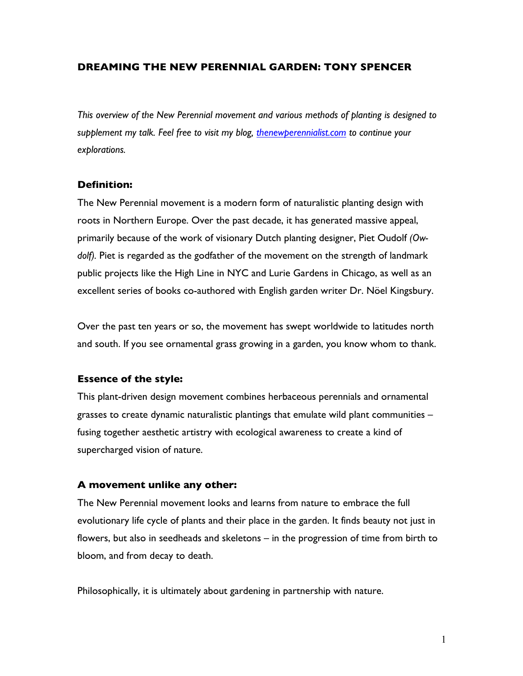## **DREAMING THE NEW PERENNIAL GARDEN: TONY SPENCER**

*This overview of the New Perennial movement and various methods of planting is designed to supplement my talk. Feel free to visit my blog, thenewperennialist.com to continue your explorations.*

#### **Definition:**

The New Perennial movement is a modern form of naturalistic planting design with roots in Northern Europe. Over the past decade, it has generated massive appeal, primarily because of the work of visionary Dutch planting designer, Piet Oudolf *(Owdolf).* Piet is regarded as the godfather of the movement on the strength of landmark public projects like the High Line in NYC and Lurie Gardens in Chicago, as well as an excellent series of books co-authored with English garden writer Dr. Nöel Kingsbury.

Over the past ten years or so, the movement has swept worldwide to latitudes north and south. If you see ornamental grass growing in a garden, you know whom to thank.

#### **Essence of the style:**

This plant-driven design movement combines herbaceous perennials and ornamental grasses to create dynamic naturalistic plantings that emulate wild plant communities – fusing together aesthetic artistry with ecological awareness to create a kind of supercharged vision of nature.

#### **A movement unlike any other:**

The New Perennial movement looks and learns from nature to embrace the full evolutionary life cycle of plants and their place in the garden. It finds beauty not just in flowers, but also in seedheads and skeletons – in the progression of time from birth to bloom, and from decay to death.

Philosophically, it is ultimately about gardening in partnership with nature.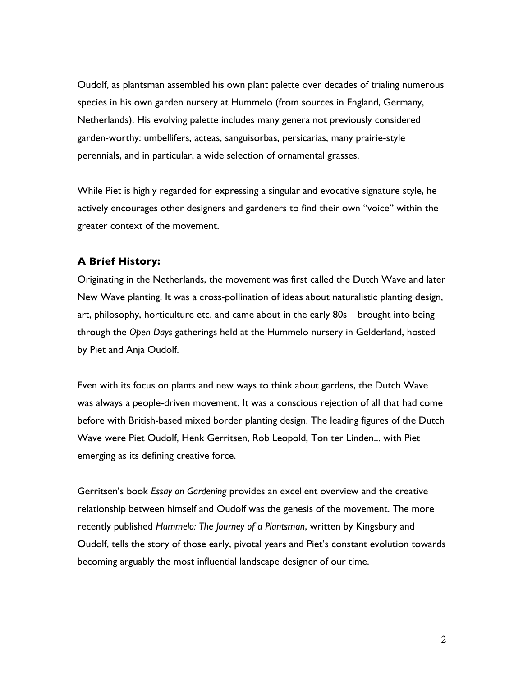Oudolf, as plantsman assembled his own plant palette over decades of trialing numerous species in his own garden nursery at Hummelo (from sources in England, Germany, Netherlands). His evolving palette includes many genera not previously considered garden-worthy: umbellifers, acteas, sanguisorbas, persicarias, many prairie-style perennials, and in particular, a wide selection of ornamental grasses.

While Piet is highly regarded for expressing a singular and evocative signature style, he actively encourages other designers and gardeners to find their own "voice" within the greater context of the movement.

#### **A Brief History:**

Originating in the Netherlands, the movement was first called the Dutch Wave and later New Wave planting. It was a cross-pollination of ideas about naturalistic planting design, art, philosophy, horticulture etc. and came about in the early 80s – brought into being through the *Open Days* gatherings held at the Hummelo nursery in Gelderland, hosted by Piet and Anja Oudolf.

Even with its focus on plants and new ways to think about gardens, the Dutch Wave was always a people-driven movement. It was a conscious rejection of all that had come before with British-based mixed border planting design. The leading figures of the Dutch Wave were Piet Oudolf, Henk Gerritsen, Rob Leopold, Ton ter Linden... with Piet emerging as its defining creative force.

Gerritsen's book *Essay on Gardening* provides an excellent overview and the creative relationship between himself and Oudolf was the genesis of the movement. The more recently published *Hummelo: The Journey of a Plantsman*, written by Kingsbury and Oudolf, tells the story of those early, pivotal years and Piet's constant evolution towards becoming arguably the most influential landscape designer of our time.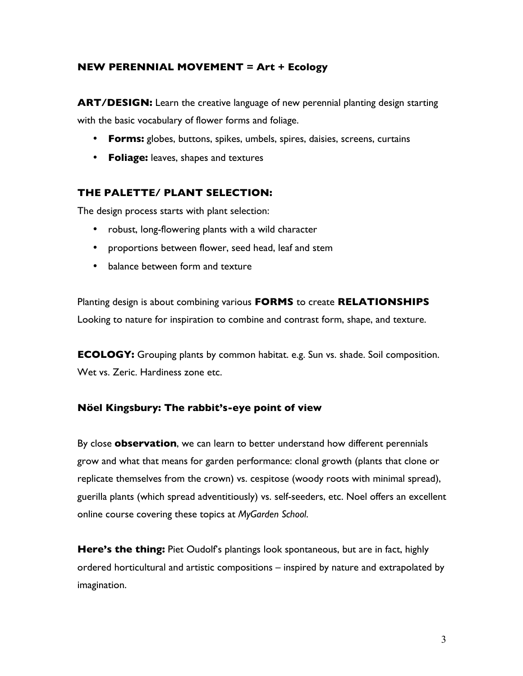# **NEW PERENNIAL MOVEMENT = Art + Ecology**

**ART/DESIGN:** Learn the creative language of new perennial planting design starting with the basic vocabulary of flower forms and foliage.

- **Forms:** globes, buttons, spikes, umbels, spires, daisies, screens, curtains
- **Foliage:** leaves, shapes and textures

# **THE PALETTE/ PLANT SELECTION:**

The design process starts with plant selection:

- robust, long-flowering plants with a wild character
- proportions between flower, seed head, leaf and stem
- balance between form and texture

Planting design is about combining various **FORMS** to create **RELATIONSHIPS** Looking to nature for inspiration to combine and contrast form, shape, and texture.

**ECOLOGY:** Grouping plants by common habitat. e.g. Sun vs. shade. Soil composition. Wet vs. Zeric. Hardiness zone etc.

## **Nöel Kingsbury: The rabbit's-eye point of view**

By close **observation**, we can learn to better understand how different perennials grow and what that means for garden performance: clonal growth (plants that clone or replicate themselves from the crown) vs. cespitose (woody roots with minimal spread), guerilla plants (which spread adventitiously) vs. self-seeders, etc. Noel offers an excellent online course covering these topics at *MyGarden School*.

**Here's the thing:** Piet Oudolf's plantings look spontaneous, but are in fact, highly ordered horticultural and artistic compositions – inspired by nature and extrapolated by imagination.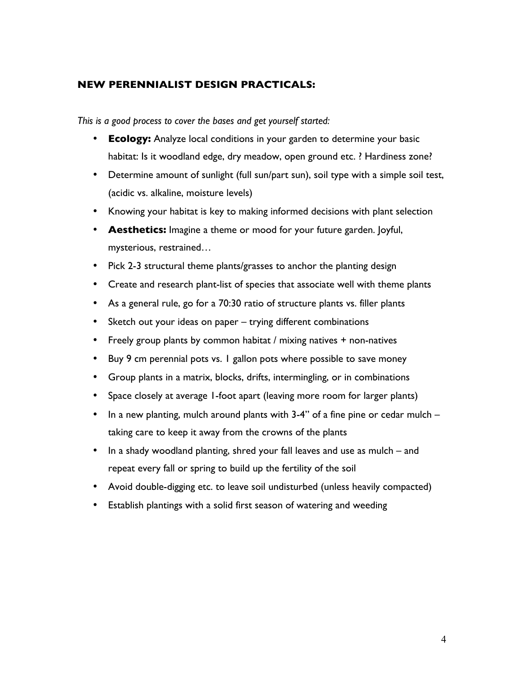# **NEW PERENNIALIST DESIGN PRACTICALS:**

*This is a good process to cover the bases and get yourself started:* 

- **Ecology:** Analyze local conditions in your garden to determine your basic habitat: Is it woodland edge, dry meadow, open ground etc. ? Hardiness zone?
- Determine amount of sunlight (full sun/part sun), soil type with a simple soil test, (acidic vs. alkaline, moisture levels)
- Knowing your habitat is key to making informed decisions with plant selection
- **Aesthetics:** Imagine a theme or mood for your future garden. Joyful, mysterious, restrained…
- Pick 2-3 structural theme plants/grasses to anchor the planting design
- Create and research plant-list of species that associate well with theme plants
- As a general rule, go for a 70:30 ratio of structure plants vs. filler plants
- Sketch out your ideas on paper trying different combinations
- Freely group plants by common habitat / mixing natives + non-natives
- Buy 9 cm perennial pots vs. 1 gallon pots where possible to save money
- Group plants in a matrix, blocks, drifts, intermingling, or in combinations
- Space closely at average 1-foot apart (leaving more room for larger plants)
- In a new planting, mulch around plants with 3-4" of a fine pine or cedar mulch taking care to keep it away from the crowns of the plants
- In a shady woodland planting, shred your fall leaves and use as mulch and repeat every fall or spring to build up the fertility of the soil
- Avoid double-digging etc. to leave soil undisturbed (unless heavily compacted)
- Establish plantings with a solid first season of watering and weeding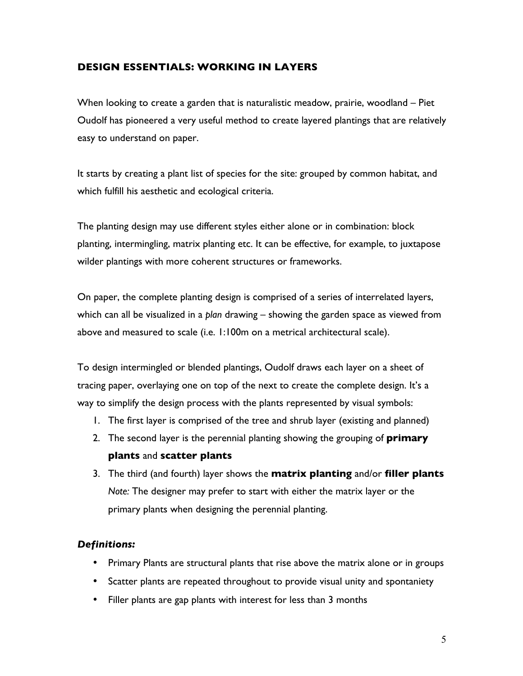# **DESIGN ESSENTIALS: WORKING IN LAYERS**

When looking to create a garden that is naturalistic meadow, prairie, woodland – Piet Oudolf has pioneered a very useful method to create layered plantings that are relatively easy to understand on paper.

It starts by creating a plant list of species for the site: grouped by common habitat, and which fulfill his aesthetic and ecological criteria.

The planting design may use different styles either alone or in combination: block planting, intermingling, matrix planting etc. It can be effective, for example, to juxtapose wilder plantings with more coherent structures or frameworks.

On paper, the complete planting design is comprised of a series of interrelated layers, which can all be visualized in a *plan* drawing – showing the garden space as viewed from above and measured to scale (i.e. 1:100m on a metrical architectural scale).

To design intermingled or blended plantings, Oudolf draws each layer on a sheet of tracing paper, overlaying one on top of the next to create the complete design. It's a way to simplify the design process with the plants represented by visual symbols:

- 1. The first layer is comprised of the tree and shrub layer (existing and planned)
- 2. The second layer is the perennial planting showing the grouping of **primary plants** and **scatter plants**
- 3. The third (and fourth) layer shows the **matrix planting** and/or **filler plants** *Note:* The designer may prefer to start with either the matrix layer or the primary plants when designing the perennial planting.

# *Definitions:*

- Primary Plants are structural plants that rise above the matrix alone or in groups
- Scatter plants are repeated throughout to provide visual unity and spontaniety
- Filler plants are gap plants with interest for less than 3 months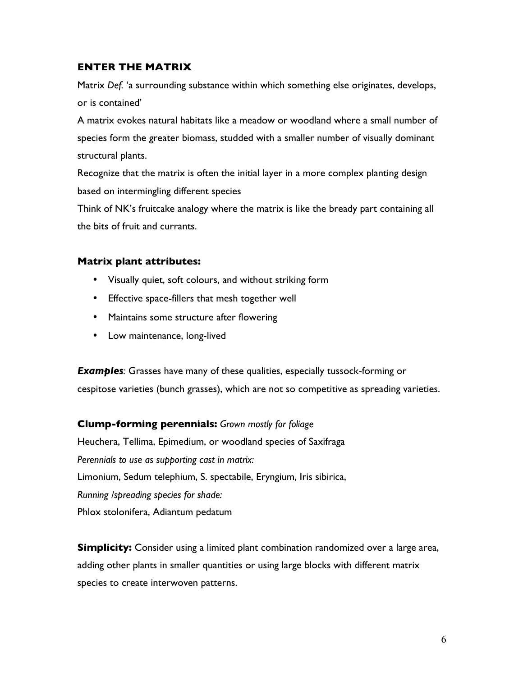# **ENTER THE MATRIX**

Matrix *Def.* 'a surrounding substance within which something else originates, develops, or is contained'

A matrix evokes natural habitats like a meadow or woodland where a small number of species form the greater biomass, studded with a smaller number of visually dominant structural plants.

Recognize that the matrix is often the initial layer in a more complex planting design based on intermingling different species

Think of NK's fruitcake analogy where the matrix is like the bready part containing all the bits of fruit and currants.

## **Matrix plant attributes:**

- Visually quiet, soft colours, and without striking form
- Effective space-fillers that mesh together well
- Maintains some structure after flowering
- Low maintenance, long-lived

*Examples:* Grasses have many of these qualities, especially tussock-forming or cespitose varieties (bunch grasses), which are not so competitive as spreading varieties.

**Clump-forming perennials:** *Grown mostly for foliage* Heuchera, Tellima, Epimedium, or woodland species of Saxifraga

*Perennials to use as supporting cast in matrix:*

Limonium, Sedum telephium, S. spectabile, Eryngium, Iris sibirica,

*Running /spreading species for shade:*

Phlox stolonifera, Adiantum pedatum

**Simplicity:** Consider using a limited plant combination randomized over a large area, adding other plants in smaller quantities or using large blocks with different matrix species to create interwoven patterns.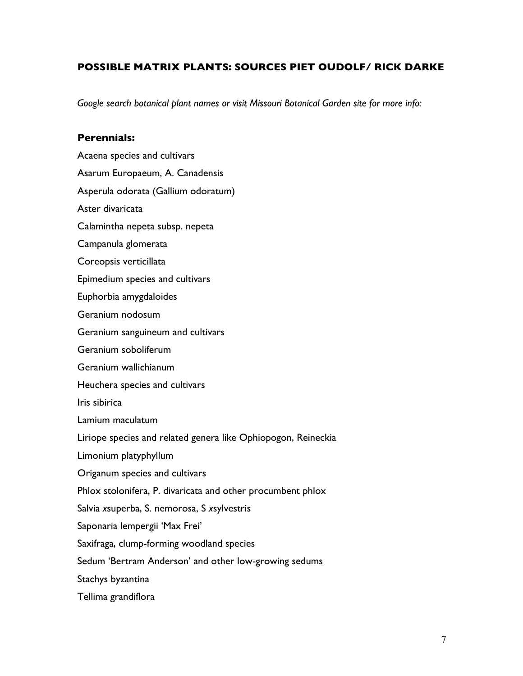# **POSSIBLE MATRIX PLANTS: SOURCES PIET OUDOLF/ RICK DARKE**

*Google search botanical plant names or visit Missouri Botanical Garden site for more info:*

## **Perennials:**

Acaena species and cultivars Asarum Europaeum, A. Canadensis Asperula odorata (Gallium odoratum) Aster divaricata Calamintha nepeta subsp. nepeta Campanula glomerata Coreopsis verticillata Epimedium species and cultivars Euphorbia amygdaloides Geranium nodosum Geranium sanguineum and cultivars Geranium soboliferum Geranium wallichianum Heuchera species and cultivars Iris sibirica Lamium maculatum Liriope species and related genera like Ophiopogon, Reineckia Limonium platyphyllum Origanum species and cultivars Phlox stolonifera, P. divaricata and other procumbent phlox Salvia *x*superba, S. nemorosa, S *x*sylvestris Saponaria lempergii 'Max Frei' Saxifraga, clump-forming woodland species Sedum 'Bertram Anderson' and other low-growing sedums Stachys byzantina Tellima grandiflora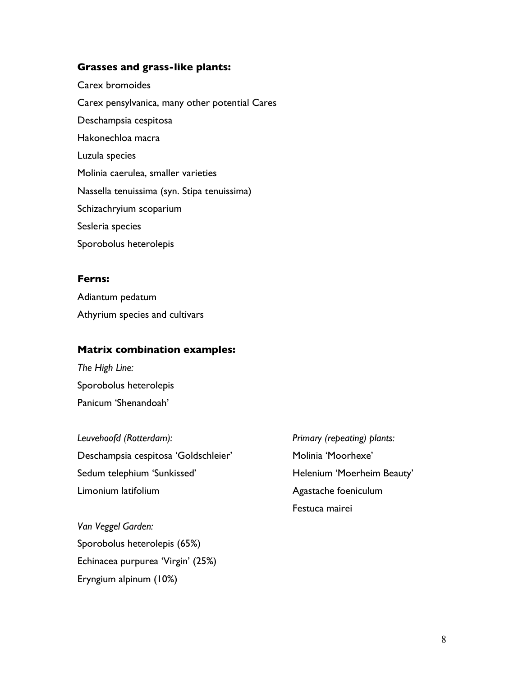#### **Grasses and grass-like plants:**

Carex bromoides Carex pensylvanica, many other potential Cares Deschampsia cespitosa Hakonechloa macra Luzula species Molinia caerulea, smaller varieties Nassella tenuissima (syn. Stipa tenuissima) Schizachryium scoparium Sesleria species Sporobolus heterolepis

### **Ferns:**

Adiantum pedatum Athyrium species and cultivars

## **Matrix combination examples:**

*The High Line:* Sporobolus heterolepis Panicum 'Shenandoah'

*Leuvehoofd (Rotterdam): Primary (repeating) plants:* Deschampsia cespitosa 'Goldschleier' Molinia 'Moorhexe' Sedum telephium 'Sunkissed' Manuel Beauty' Helenium 'Moerheim Beauty' Limonium latifolium **Agastache** foeniculum

Festuca mairei

*Van Veggel Garden:* Sporobolus heterolepis (65%) Echinacea purpurea 'Virgin' (25%) Eryngium alpinum (10%)